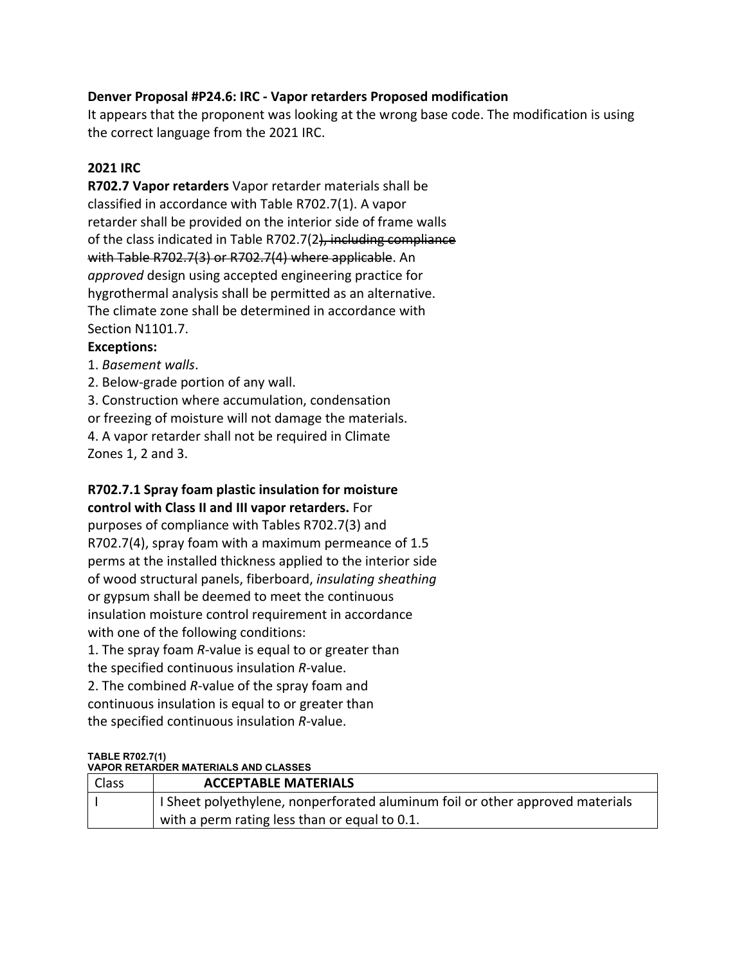### **Denver Proposal #P24.6: IRC ‐ Vapor retarders Proposed modification**

 It appears that the proponent was looking at the wrong base code. The modification is using the correct language from the 2021 IRC.

#### **2021 IRC**

 **R702.7 Vapor retarders** Vapor retarder materials shall be classified in accordance with Table R702.7(1). A vapor retarder shall be provided on the interior side of frame walls of the class indicated in Table R702.7(2<del>), including compliance</del> with Table R702.7(3) or R702.7(4) where applicable. An *approved* design using accepted engineering practice for hygrothermal analysis shall be permitted as an alternative. The climate zone shall be determined in accordance with Section N1101.7.

## **Exceptions:**

1. *Basement walls*.

2. Below‐grade portion of any wall.

3. Construction where accumulation, condensation

or freezing of moisture will not damage the materials.

4. A vapor retarder shall not be required in Climate

Zones 1, 2 and 3.

## **R702.7.1 Spray foam plastic insulation for moisture control with Class II and III vapor retarders.** For

 purposes of compliance with Tables R702.7(3) and R702.7(4), spray foam with a maximum permeance of 1.5 perms at the installed thickness applied to the interior side  of wood structural panels, fiberboard, *insulating sheathing* or gypsum shall be deemed to meet the continuous insulation moisture control requirement in accordance with one of the following conditions:

 1. The spray foam *R*‐value is equal to or greater than the specified continuous insulation *R*‐value.

 2. The combined *R*‐value of the spray foam and continuous insulation is equal to or greater than the specified continuous insulation *R*‐value.

#### **TABLE R702.7(1) VAPOR RETARDER MATERIALS AND CLASSES**

| Class | <b>ACCEPTABLE MATERIALS</b>                                                   |
|-------|-------------------------------------------------------------------------------|
|       | I Sheet polyethylene, nonperforated aluminum foil or other approved materials |
|       | with a perm rating less than or equal to 0.1.                                 |